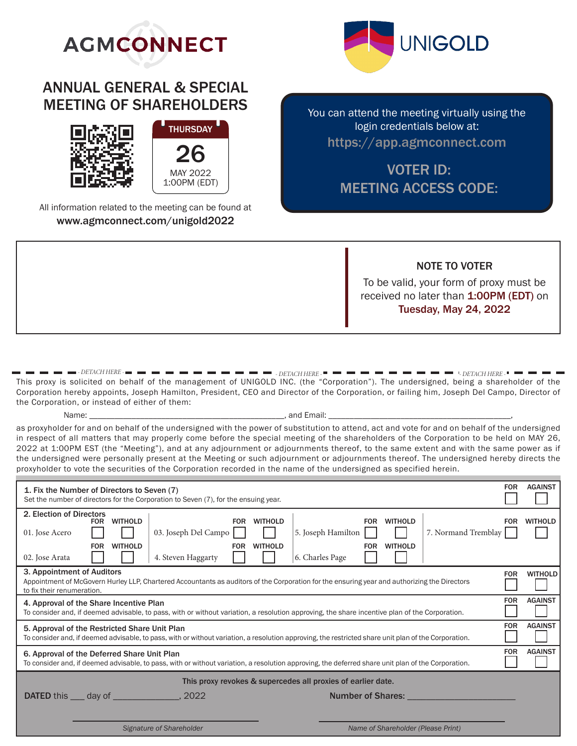

# ANNUAL GENERAL & SPECIAL MEETING OF SHAREHOLDERS



All information related to the meeting can be found at www.agmconnect.com/unigold2022



You can attend the meeting virtually using the login credentials below at: https://app.agmconnect.com

## VOTER ID: MEETING ACCESS CODE:

NOTE TO VOTER

To be valid, your form of proxy must be received no later than 1:00PM (EDT) on Tuesday, May 24, 2022

This proxy is solicited on behalf of the management of UNIGOLD INC. (the "Corporation"). The undersigned, being a shareholder of the Corporation hereby appoints, Joseph Hamilton, President, CEO and Director of the Corporation, or failing him, Joseph Del Campo, Director of the Corporation, or instead of either of them: *- DETACH HERE - - DETACH HERE - - DETACH HERE -*

Name: \_\_\_\_\_\_\_\_\_\_\_\_\_\_\_\_\_\_\_\_\_\_\_\_\_\_\_\_\_\_\_\_\_\_\_\_\_\_\_\_\_\_\_\_\_\_, and Email: \_\_\_\_\_\_\_\_\_\_\_\_\_\_\_\_\_\_\_\_\_\_\_\_\_\_\_\_\_\_\_\_\_\_\_\_\_\_\_\_\_\_\_,

as proxyholder for and on behalf of the undersigned with the power of substitution to attend, act and vote for and on behalf of the undersigned in respect of all matters that may properly come before the special meeting of the shareholders of the Corporation to be held on MAY 26, 2022 at 1:00PM EST (the "Meeting"), and at any adjournment or adjournments thereof, to the same extent and with the same power as if the undersigned were personally present at the Meeting or such adjournment or adjournments thereof. The undersigned hereby directs the proxyholder to vote the securities of the Corporation recorded in the name of the undersigned as specified herein.

| 1. Fix the Number of Directors to Seven (7)<br>Set the number of directors for the Corporation to Seven (7), for the ensuing year.                                                                                                                                                                                                                                         | <b>FOR</b> | <b>AGAINST</b> |  |
|----------------------------------------------------------------------------------------------------------------------------------------------------------------------------------------------------------------------------------------------------------------------------------------------------------------------------------------------------------------------------|------------|----------------|--|
| 2. Election of Directors<br><b>WITHOLD</b><br><b>WITHOLD</b><br><b>FOR</b><br><b>WITHOLD</b><br><b>FOR</b><br><b>FOR</b><br>03. Joseph Del Campo<br>5. Joseph Hamilton<br>7. Normand Tremblay<br>01. Jose Acero<br><b>WITHOLD</b><br><b>WITHOLD</b><br><b>FOR</b><br><b>WITHOLD</b><br><b>FOR</b><br><b>FOR</b><br>6. Charles Page<br>4. Steven Haggarty<br>02. Jose Arata | <b>FOR</b> | <b>WITHOLD</b> |  |
| 3. Appointment of Auditors<br><b>FOR</b><br><b>WITHOLD</b><br>Appointment of McGovern Hurley LLP, Chartered Accountants as auditors of the Corporation for the ensuring year and authorizing the Directors<br>to fix their renumeration.                                                                                                                                   |            |                |  |
| <b>FOR</b><br><b>AGAINST</b><br>4. Approval of the Share Incentive Plan<br>To consider and, if deemed advisable, to pass, with or without variation, a resolution approving, the share incentive plan of the Corporation.                                                                                                                                                  |            |                |  |
| <b>AGAINST</b><br><b>FOR</b><br>5. Approval of the Restricted Share Unit Plan<br>To consider and, if deemed advisable, to pass, with or without variation, a resolution approving, the restricted share unit plan of the Corporation.                                                                                                                                      |            |                |  |
| 6. Approval of the Deferred Share Unit Plan<br>To consider and, if deemed advisable, to pass, with or without variation, a resolution approving, the deferred share unit plan of the Corporation.                                                                                                                                                                          | <b>FOR</b> | <b>AGAINST</b> |  |
| This proxy revokes & supercedes all proxies of earlier date.                                                                                                                                                                                                                                                                                                               |            |                |  |
| <b>DATED</b> this <u>equal</u> day of <u>equal that are not past and part and part are not part and part are not part are not part and part are not part are not part are not part are not part are not part are not part are not part are</u><br><b>Number of Shares:</b>                                                                                                 |            |                |  |
|                                                                                                                                                                                                                                                                                                                                                                            |            |                |  |
| Signature of Shareholder<br>Name of Shareholder (Please Print)                                                                                                                                                                                                                                                                                                             |            |                |  |